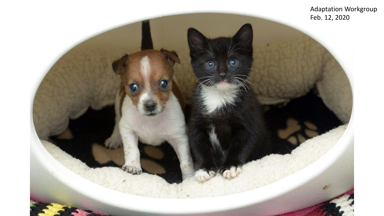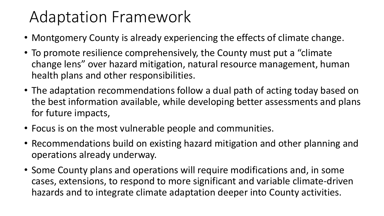#### Adaptation Framework

- Montgomery County is already experiencing the effects of climate change.
- To promote resilience comprehensively, the County must put a "climate change lens" over hazard mitigation, natural resource management, human health plans and other responsibilities.
- The adaptation recommendations follow a dual path of acting today based on the best information available, while developing better assessments and plans for future impacts,
- Focus is on the most vulnerable people and communities.
- Recommendations build on existing hazard mitigation and other planning and operations already underway.
- Some County plans and operations will require modifications and, in some cases, extensions, to respond to more significant and variable climate-driven hazards and to integrate climate adaptation deeper into County activities.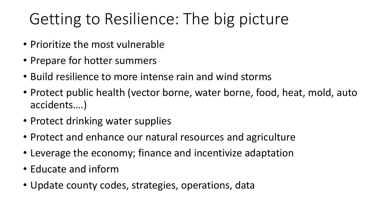# Getting to Resilience: The big picture

- Prioritize the most vulnerable
- Prepare for hotter summers
- Build resilience to more intense rain and wind storms
- Protect public health (vector borne, water borne, food, heat, mold, auto accidents….)
- Protect drinking water supplies
- Protect and enhance our natural resources and agriculture
- Leverage the economy; finance and incentivize adaptation
- Educate and inform
- Update county codes, strategies, operations, data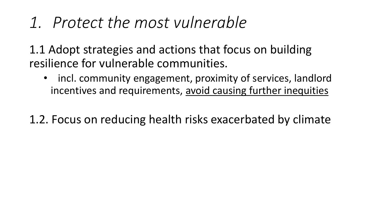*1. Protect the most vulnerable*

1.1 Adopt strategies and actions that focus on building resilience for vulnerable communities.

• incl. community engagement, proximity of services, landlord incentives and requirements, avoid causing further inequities

1.2. Focus on reducing health risks exacerbated by climate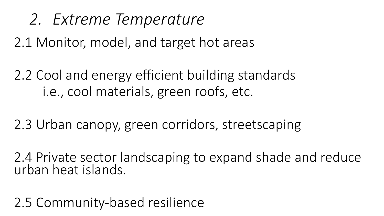*2. Extreme Temperature*

2.1 Monitor, model, and target hot areas

2.2 Cool and energy efficient building standards i.e., cool materials, green roofs, etc.

2.3 Urban canopy, green corridors, streetscaping

2.4 Private sector landscaping to expand shade and reduce urban heat islands.

2.5 Community-based resilience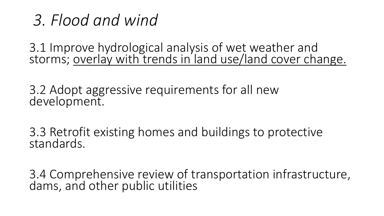#### *3. Flood and wind*

3.1 Improve hydrological analysis of wet weather and storms; overlay with trends in land use/land cover change.

3.2 Adopt aggressive requirements for all new development.

3.3 Retrofit existing homes and buildings to protective standards.

3.4 Comprehensive review of transportation infrastructure, dams, and other public utilities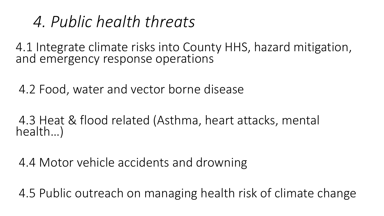#### *4. Public health threats*

4.1 Integrate climate risks into County HHS, hazard mitigation, and emergency response operations

4.2 Food, water and vector borne disease

4.3 Heat & flood related (Asthma, heart attacks, mental health…)

4.4 Motor vehicle accidents and drowning

4.5 Public outreach on managing health risk of climate change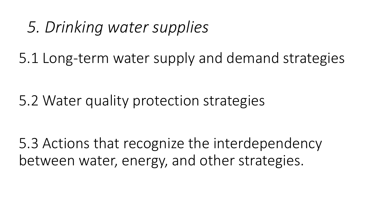#### *5. Drinking water supplies*

5.1 Long-term water supply and demand strategies

5.2 Water quality protection strategies

5.3 Actions that recognize the interdependency between water, energy, and other strategies.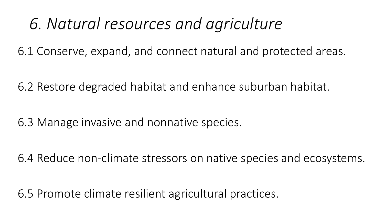### *6. Natural resources and agriculture*

6.1 Conserve, expand, and connect natural and protected areas.

6.2 Restore degraded habitat and enhance suburban habitat.

6.3 Manage invasive and nonnative species.

6.4 Reduce non-climate stressors on native species and ecosystems.

6.5 Promote climate resilient agricultural practices.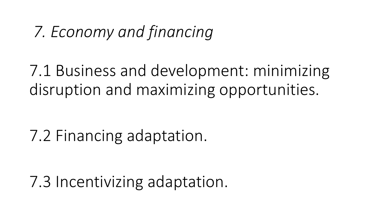## *7. Economy and financing*

7.1 Business and development: minimizing disruption and maximizing opportunities.

7.2 Financing adaptation.

7.3 Incentivizing adaptation.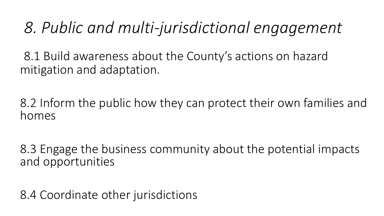### *8. Public and multi-jurisdictional engagement*

8.1 Build awareness about the County's actions on hazard mitigation and adaptation.

8.2 Inform the public how they can protect their own families and homes

8.3 Engage the business community about the potential impacts and opportunities

8.4 Coordinate other jurisdictions